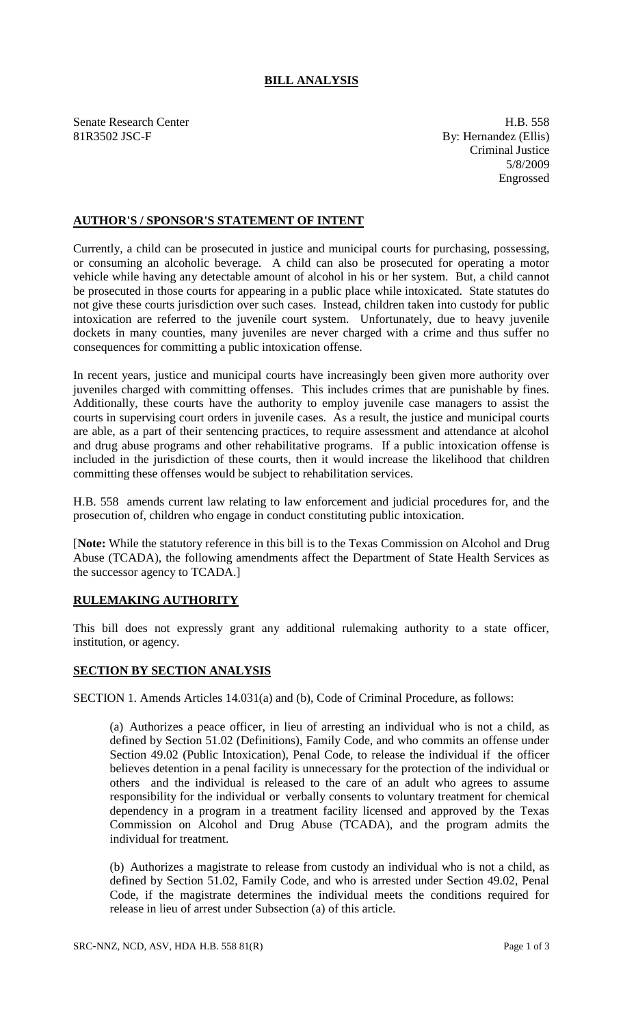## **BILL ANALYSIS**

Senate Research Center **H.B.** 558 81R3502 JSC-F By: Hernandez (Ellis)

Criminal Justice 5/8/2009 Engrossed

## **AUTHOR'S / SPONSOR'S STATEMENT OF INTENT**

Currently, a child can be prosecuted in justice and municipal courts for purchasing, possessing, or consuming an alcoholic beverage. A child can also be prosecuted for operating a motor vehicle while having any detectable amount of alcohol in his or her system. But, a child cannot be prosecuted in those courts for appearing in a public place while intoxicated. State statutes do not give these courts jurisdiction over such cases. Instead, children taken into custody for public intoxication are referred to the juvenile court system. Unfortunately, due to heavy juvenile dockets in many counties, many juveniles are never charged with a crime and thus suffer no consequences for committing a public intoxication offense.

In recent years, justice and municipal courts have increasingly been given more authority over juveniles charged with committing offenses. This includes crimes that are punishable by fines. Additionally, these courts have the authority to employ juvenile case managers to assist the courts in supervising court orders in juvenile cases. As a result, the justice and municipal courts are able, as a part of their sentencing practices, to require assessment and attendance at alcohol and drug abuse programs and other rehabilitative programs. If a public intoxication offense is included in the jurisdiction of these courts, then it would increase the likelihood that children committing these offenses would be subject to rehabilitation services.

H.B. 558 amends current law relating to law enforcement and judicial procedures for, and the prosecution of, children who engage in conduct constituting public intoxication.

[**Note:** While the statutory reference in this bill is to the Texas Commission on Alcohol and Drug Abuse (TCADA), the following amendments affect the Department of State Health Services as the successor agency to TCADA.]

## **RULEMAKING AUTHORITY**

This bill does not expressly grant any additional rulemaking authority to a state officer, institution, or agency.

## **SECTION BY SECTION ANALYSIS**

SECTION 1. Amends Articles 14.031(a) and (b), Code of Criminal Procedure, as follows:

(a) Authorizes a peace officer, in lieu of arresting an individual who is not a child, as defined by Section 51.02 (Definitions), Family Code, and who commits an offense under Section 49.02 (Public Intoxication), Penal Code, to release the individual if the officer believes detention in a penal facility is unnecessary for the protection of the individual or others and the individual is released to the care of an adult who agrees to assume responsibility for the individual or verbally consents to voluntary treatment for chemical dependency in a program in a treatment facility licensed and approved by the Texas Commission on Alcohol and Drug Abuse (TCADA), and the program admits the individual for treatment.

(b) Authorizes a magistrate to release from custody an individual who is not a child, as defined by Section 51.02, Family Code, and who is arrested under Section 49.02, Penal Code, if the magistrate determines the individual meets the conditions required for release in lieu of arrest under Subsection (a) of this article.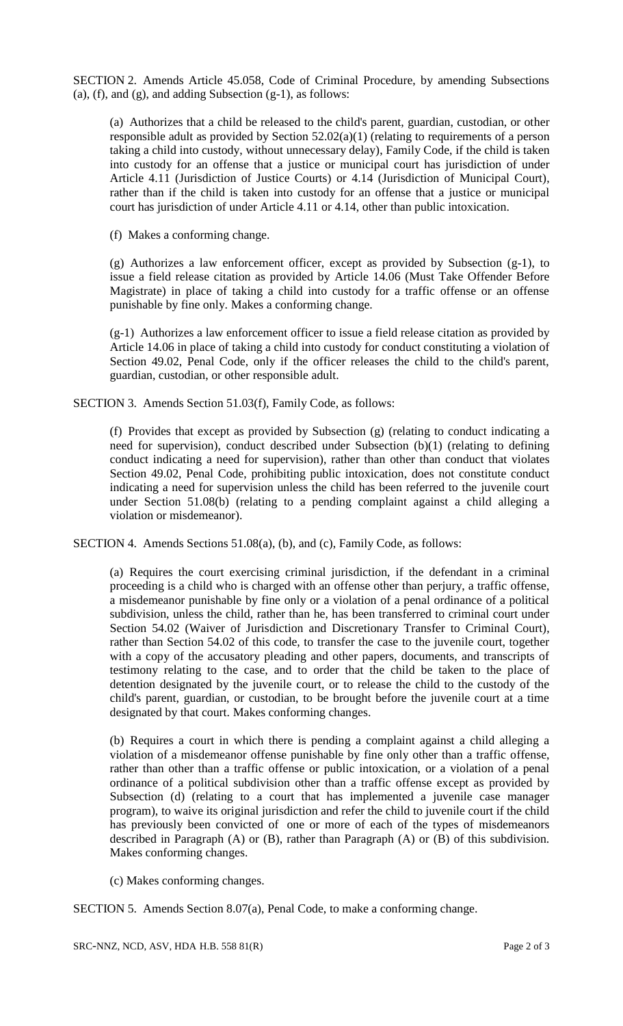SECTION 2. Amends Article 45.058, Code of Criminal Procedure, by amending Subsections (a),  $(f)$ , and  $(g)$ , and adding Subsection  $(g-1)$ , as follows:

(a) Authorizes that a child be released to the child's parent, guardian, custodian, or other responsible adult as provided by Section 52.02(a)(1) (relating to requirements of a person taking a child into custody, without unnecessary delay), Family Code, if the child is taken into custody for an offense that a justice or municipal court has jurisdiction of under Article 4.11 (Jurisdiction of Justice Courts) or 4.14 (Jurisdiction of Municipal Court), rather than if the child is taken into custody for an offense that a justice or municipal court has jurisdiction of under Article 4.11 or 4.14, other than public intoxication.

(f) Makes a conforming change.

(g) Authorizes a law enforcement officer, except as provided by Subsection (g-1), to issue a field release citation as provided by Article 14.06 (Must Take Offender Before Magistrate) in place of taking a child into custody for a traffic offense or an offense punishable by fine only. Makes a conforming change.

(g-1) Authorizes a law enforcement officer to issue a field release citation as provided by Article 14.06 in place of taking a child into custody for conduct constituting a violation of Section 49.02, Penal Code, only if the officer releases the child to the child's parent, guardian, custodian, or other responsible adult.

SECTION 3. Amends Section 51.03(f), Family Code, as follows:

(f) Provides that except as provided by Subsection (g) (relating to conduct indicating a need for supervision), conduct described under Subsection (b)(1) (relating to defining conduct indicating a need for supervision), rather than other than conduct that violates Section 49.02, Penal Code, prohibiting public intoxication, does not constitute conduct indicating a need for supervision unless the child has been referred to the juvenile court under Section 51.08(b) (relating to a pending complaint against a child alleging a violation or misdemeanor).

SECTION 4. Amends Sections 51.08(a), (b), and (c), Family Code, as follows:

(a) Requires the court exercising criminal jurisdiction, if the defendant in a criminal proceeding is a child who is charged with an offense other than perjury, a traffic offense, a misdemeanor punishable by fine only or a violation of a penal ordinance of a political subdivision, unless the child, rather than he, has been transferred to criminal court under Section 54.02 (Waiver of Jurisdiction and Discretionary Transfer to Criminal Court), rather than Section 54.02 of this code, to transfer the case to the juvenile court, together with a copy of the accusatory pleading and other papers, documents, and transcripts of testimony relating to the case, and to order that the child be taken to the place of detention designated by the juvenile court, or to release the child to the custody of the child's parent, guardian, or custodian, to be brought before the juvenile court at a time designated by that court. Makes conforming changes.

(b) Requires a court in which there is pending a complaint against a child alleging a violation of a misdemeanor offense punishable by fine only other than a traffic offense, rather than other than a traffic offense or public intoxication, or a violation of a penal ordinance of a political subdivision other than a traffic offense except as provided by Subsection (d) (relating to a court that has implemented a juvenile case manager program), to waive its original jurisdiction and refer the child to juvenile court if the child has previously been convicted of one or more of each of the types of misdemeanors described in Paragraph (A) or (B), rather than Paragraph (A) or (B) of this subdivision. Makes conforming changes.

(c) Makes conforming changes.

SECTION 5. Amends Section 8.07(a), Penal Code, to make a conforming change.